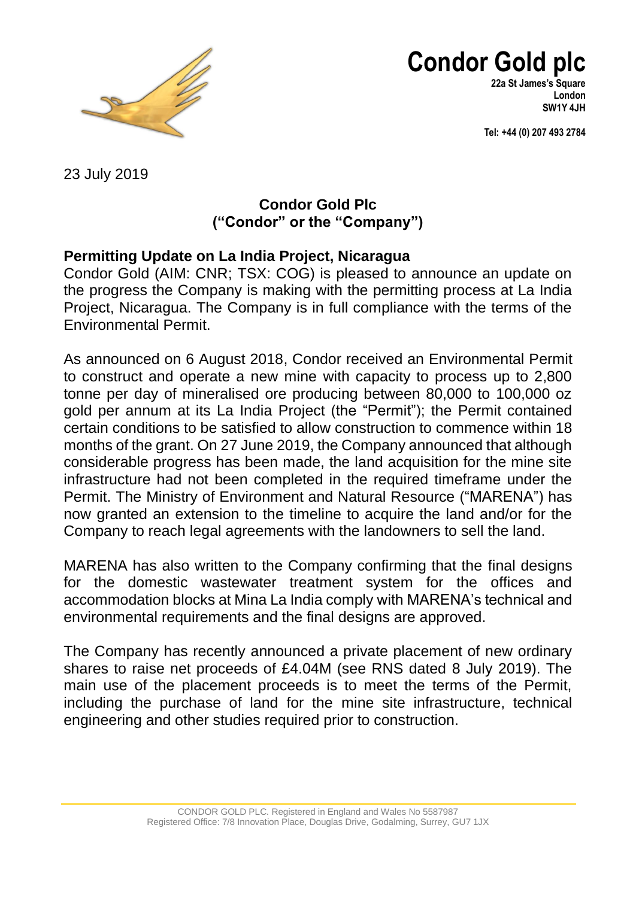

# **Condor Gold plc**

**22a St James's Square London SW1Y 4JH**

**Tel: +44 (0) 207 493 2784**

23 July 2019

# **Condor Gold Plc ("Condor" or the "Company")**

# **Permitting Update on La India Project, Nicaragua**

Condor Gold (AIM: CNR; TSX: COG) is pleased to announce an update on the progress the Company is making with the permitting process at La India Project, Nicaragua. The Company is in full compliance with the terms of the Environmental Permit.

As announced on 6 August 2018, Condor received an Environmental Permit to construct and operate a new mine with capacity to process up to 2,800 tonne per day of mineralised ore producing between 80,000 to 100,000 oz gold per annum at its La India Project (the "Permit"); the Permit contained certain conditions to be satisfied to allow construction to commence within 18 months of the grant. On 27 June 2019, the Company announced that although considerable progress has been made, the land acquisition for the mine site infrastructure had not been completed in the required timeframe under the Permit. The Ministry of Environment and Natural Resource ("MARENA") has now granted an extension to the timeline to acquire the land and/or for the Company to reach legal agreements with the landowners to sell the land.

MARENA has also written to the Company confirming that the final designs for the domestic wastewater treatment system for the offices and accommodation blocks at Mina La India comply with MARENA's technical and environmental requirements and the final designs are approved.

The Company has recently announced a private placement of new ordinary shares to raise net proceeds of £4.04M (see RNS dated 8 July 2019). The main use of the placement proceeds is to meet the terms of the Permit, including the purchase of land for the mine site infrastructure, technical engineering and other studies required prior to construction.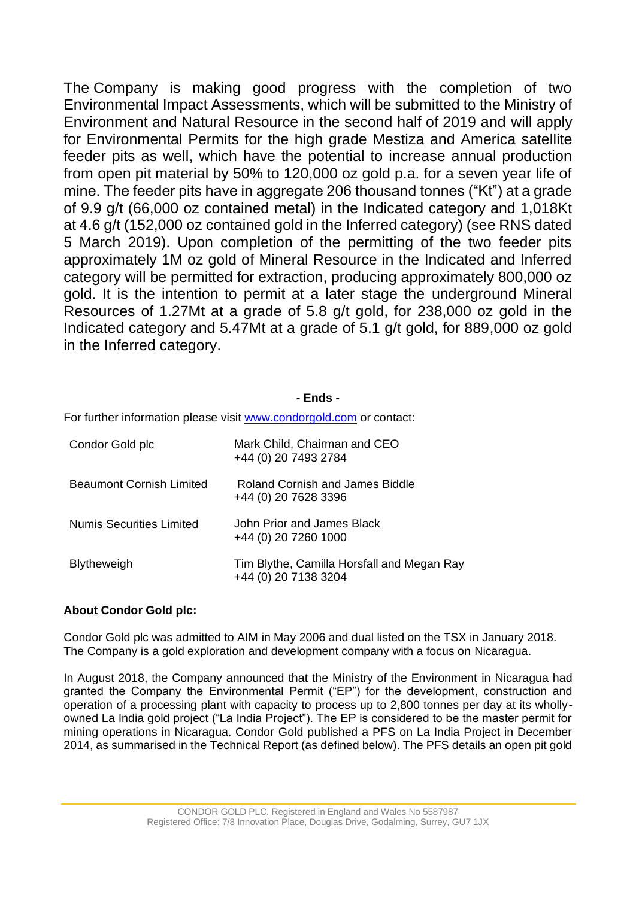The Company is making good progress with the completion of two Environmental Impact Assessments, which will be submitted to the Ministry of Environment and Natural Resource in the second half of 2019 and will apply for Environmental Permits for the high grade Mestiza and America satellite feeder pits as well, which have the potential to increase annual production from open pit material by 50% to 120,000 oz gold p.a. for a seven year life of mine. The feeder pits have in aggregate 206 thousand tonnes ("Kt") at a grade of 9.9 g/t (66,000 oz contained metal) in the Indicated category and 1,018Kt at 4.6 g/t (152,000 oz contained gold in the Inferred category) (see RNS dated 5 March 2019). Upon completion of the permitting of the two feeder pits approximately 1M oz gold of Mineral Resource in the Indicated and Inferred category will be permitted for extraction, producing approximately 800,000 oz gold. It is the intention to permit at a later stage the underground Mineral Resources of 1.27Mt at a grade of 5.8 g/t gold, for 238,000 oz gold in the Indicated category and 5.47Mt at a grade of 5.1 g/t gold, for 889,000 oz gold in the Inferred category.

# **- Ends -**

For further information please visit www.condorgold.com or contact:

| Condor Gold plc                 | Mark Child, Chairman and CEO<br>+44 (0) 20 7493 2784               |
|---------------------------------|--------------------------------------------------------------------|
| Beaumont Cornish Limited        | Roland Cornish and James Biddle<br>+44 (0) 20 7628 3396            |
| <b>Numis Securities Limited</b> | John Prior and James Black<br>+44 (0) 20 7260 1000                 |
| <b>Blytheweigh</b>              | Tim Blythe, Camilla Horsfall and Megan Ray<br>+44 (0) 20 7138 3204 |

# **About Condor Gold plc:**

Condor Gold plc was admitted to AIM in May 2006 and dual listed on the TSX in January 2018. The Company is a gold exploration and development company with a focus on Nicaragua.

In August 2018, the Company announced that the Ministry of the Environment in Nicaragua had granted the Company the Environmental Permit ("EP") for the development, construction and operation of a processing plant with capacity to process up to 2,800 tonnes per day at its whollyowned La India gold project ("La India Project"). The EP is considered to be the master permit for mining operations in Nicaragua. Condor Gold published a PFS on La India Project in December 2014, as summarised in the Technical Report (as defined below). The PFS details an open pit gold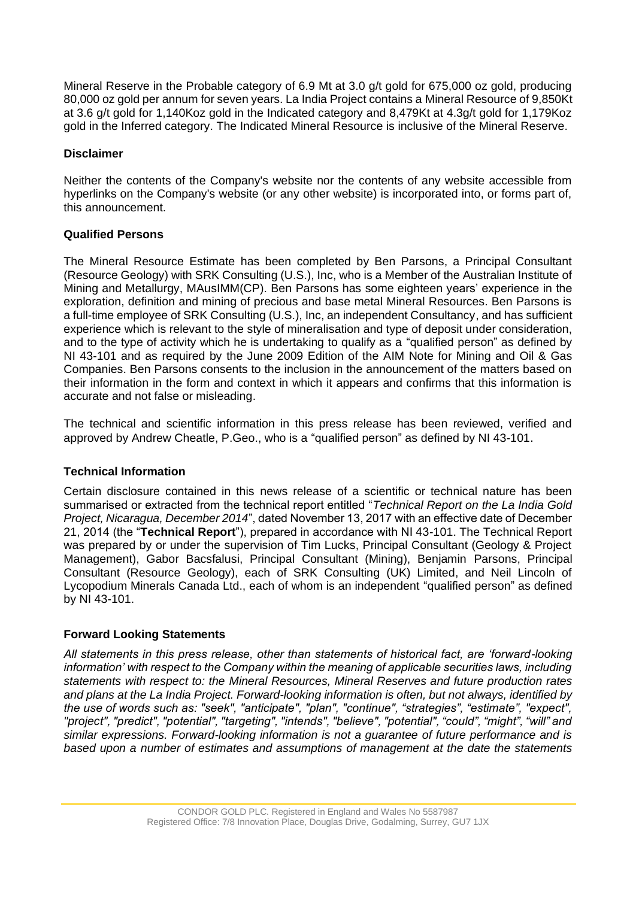Mineral Reserve in the Probable category of 6.9 Mt at 3.0 g/t gold for 675,000 oz gold, producing 80,000 oz gold per annum for seven years. La India Project contains a Mineral Resource of 9,850Kt at 3.6 g/t gold for 1,140Koz gold in the Indicated category and 8,479Kt at 4.3g/t gold for 1,179Koz gold in the Inferred category. The Indicated Mineral Resource is inclusive of the Mineral Reserve.

# **Disclaimer**

Neither the contents of the Company's website nor the contents of any website accessible from hyperlinks on the Company's website (or any other website) is incorporated into, or forms part of, this announcement.

# **Qualified Persons**

The Mineral Resource Estimate has been completed by Ben Parsons, a Principal Consultant (Resource Geology) with SRK Consulting (U.S.), Inc, who is a Member of the Australian Institute of Mining and Metallurgy, MAusIMM(CP). Ben Parsons has some eighteen years' experience in the exploration, definition and mining of precious and base metal Mineral Resources. Ben Parsons is a full-time employee of SRK Consulting (U.S.), Inc, an independent Consultancy, and has sufficient experience which is relevant to the style of mineralisation and type of deposit under consideration, and to the type of activity which he is undertaking to qualify as a "qualified person" as defined by NI 43-101 and as required by the June 2009 Edition of the AIM Note for Mining and Oil & Gas Companies. Ben Parsons consents to the inclusion in the announcement of the matters based on their information in the form and context in which it appears and confirms that this information is accurate and not false or misleading.

The technical and scientific information in this press release has been reviewed, verified and approved by Andrew Cheatle, P.Geo., who is a "qualified person" as defined by NI 43-101.

# **Technical Information**

Certain disclosure contained in this news release of a scientific or technical nature has been summarised or extracted from the technical report entitled "*Technical Report on the La India Gold Project, Nicaragua, December 2014*", dated November 13, 2017 with an effective date of December 21, 2014 (the "**Technical Report**"), prepared in accordance with NI 43-101. The Technical Report was prepared by or under the supervision of Tim Lucks, Principal Consultant (Geology & Project Management), Gabor Bacsfalusi, Principal Consultant (Mining), Benjamin Parsons, Principal Consultant (Resource Geology), each of SRK Consulting (UK) Limited, and Neil Lincoln of Lycopodium Minerals Canada Ltd., each of whom is an independent "qualified person" as defined by NI 43-101.

# **Forward Looking Statements**

*All statements in this press release, other than statements of historical fact, are 'forward-looking information' with respect to the Company within the meaning of applicable securities laws, including statements with respect to: the Mineral Resources, Mineral Reserves and future production rates and plans at the La India Project. Forward-looking information is often, but not always, identified by the use of words such as: "seek", "anticipate", "plan", "continue", "strategies", "estimate", "expect", "project", "predict", "potential", "targeting", "intends", "believe", "potential", "could", "might", "will" and similar expressions. Forward-looking information is not a guarantee of future performance and is based upon a number of estimates and assumptions of management at the date the statements*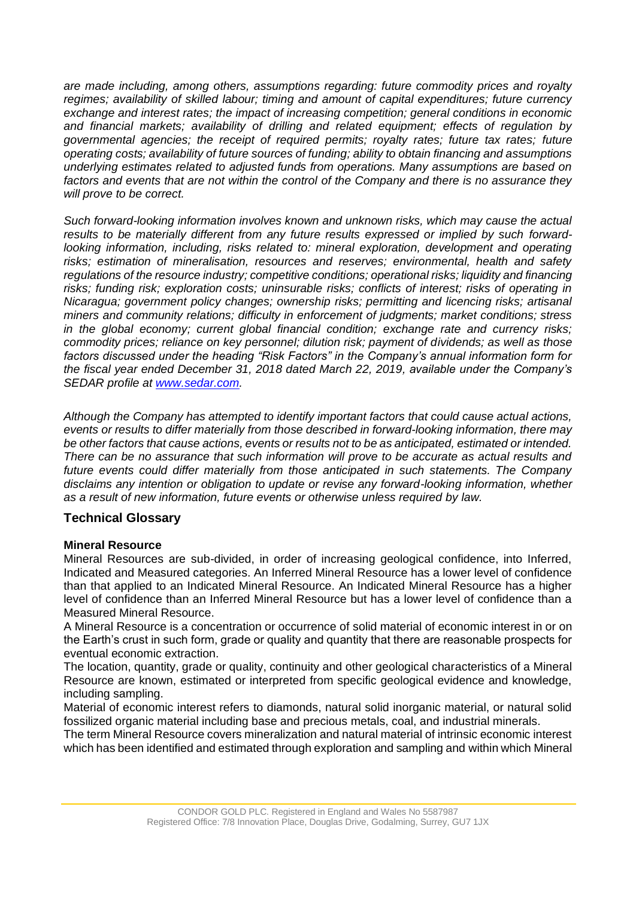*are made including, among others, assumptions regarding: future commodity prices and royalty regimes; availability of skilled labour; timing and amount of capital expenditures; future currency exchange and interest rates; the impact of increasing competition; general conditions in economic and financial markets; availability of drilling and related equipment; effects of regulation by governmental agencies; the receipt of required permits; royalty rates; future tax rates; future operating costs; availability of future sources of funding; ability to obtain financing and assumptions underlying estimates related to adjusted funds from operations. Many assumptions are based on factors and events that are not within the control of the Company and there is no assurance they will prove to be correct.* 

*Such forward-looking information involves known and unknown risks, which may cause the actual results to be materially different from any future results expressed or implied by such forwardlooking information, including, risks related to: mineral exploration, development and operating risks; estimation of mineralisation, resources and reserves; environmental, health and safety regulations of the resource industry; competitive conditions; operational risks; liquidity and financing risks; funding risk; exploration costs; uninsurable risks; conflicts of interest; risks of operating in Nicaragua; government policy changes; ownership risks; permitting and licencing risks; artisanal miners and community relations; difficulty in enforcement of judgments; market conditions; stress in the global economy; current global financial condition; exchange rate and currency risks; commodity prices; reliance on key personnel; dilution risk; payment of dividends; as well as those factors discussed under the heading "Risk Factors" in the Company's annual information form for the fiscal year ended December 31, 2018 dated March 22, 2019, available under the Company's SEDAR profile at [www.sedar.com.](http://www.sedar.com/)*

*Although the Company has attempted to identify important factors that could cause actual actions, events or results to differ materially from those described in forward-looking information, there may be other factors that cause actions, events or results not to be as anticipated, estimated or intended. There can be no assurance that such information will prove to be accurate as actual results and future events could differ materially from those anticipated in such statements. The Company disclaims any intention or obligation to update or revise any forward-looking information, whether as a result of new information, future events or otherwise unless required by law.*

# **Technical Glossary**

# **Mineral Resource**

Mineral Resources are sub-divided, in order of increasing geological confidence, into Inferred, Indicated and Measured categories. An Inferred Mineral Resource has a lower level of confidence than that applied to an Indicated Mineral Resource. An Indicated Mineral Resource has a higher level of confidence than an Inferred Mineral Resource but has a lower level of confidence than a Measured Mineral Resource.

A Mineral Resource is a concentration or occurrence of solid material of economic interest in or on the Earth's crust in such form, grade or quality and quantity that there are reasonable prospects for eventual economic extraction.

The location, quantity, grade or quality, continuity and other geological characteristics of a Mineral Resource are known, estimated or interpreted from specific geological evidence and knowledge, including sampling.

Material of economic interest refers to diamonds, natural solid inorganic material, or natural solid fossilized organic material including base and precious metals, coal, and industrial minerals.

The term Mineral Resource covers mineralization and natural material of intrinsic economic interest which has been identified and estimated through exploration and sampling and within which Mineral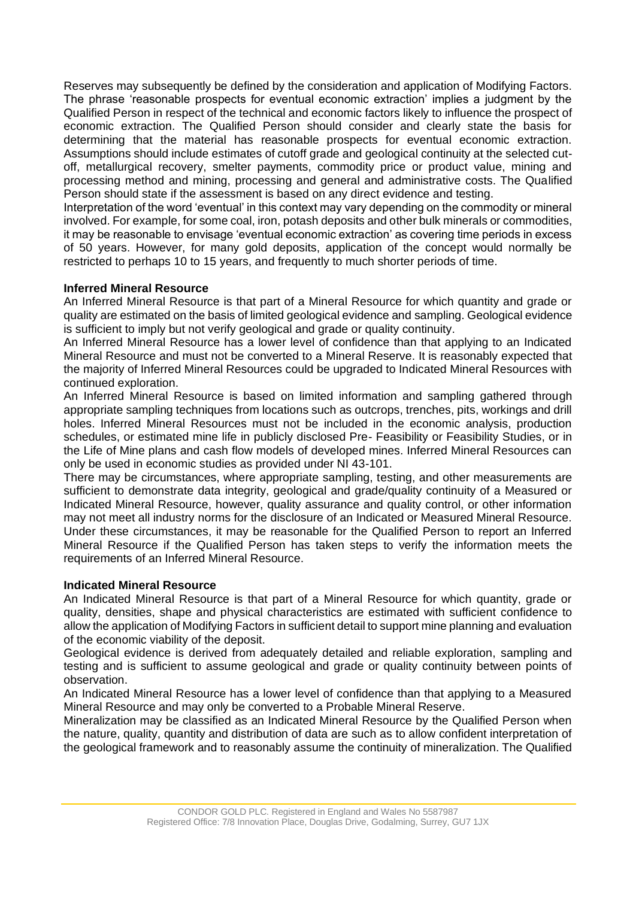Reserves may subsequently be defined by the consideration and application of Modifying Factors. The phrase 'reasonable prospects for eventual economic extraction' implies a judgment by the Qualified Person in respect of the technical and economic factors likely to influence the prospect of economic extraction. The Qualified Person should consider and clearly state the basis for determining that the material has reasonable prospects for eventual economic extraction. Assumptions should include estimates of cutoff grade and geological continuity at the selected cutoff, metallurgical recovery, smelter payments, commodity price or product value, mining and processing method and mining, processing and general and administrative costs. The Qualified Person should state if the assessment is based on any direct evidence and testing.

Interpretation of the word 'eventual' in this context may vary depending on the commodity or mineral involved. For example, for some coal, iron, potash deposits and other bulk minerals or commodities, it may be reasonable to envisage 'eventual economic extraction' as covering time periods in excess of 50 years. However, for many gold deposits, application of the concept would normally be restricted to perhaps 10 to 15 years, and frequently to much shorter periods of time.

#### **Inferred Mineral Resource**

An Inferred Mineral Resource is that part of a Mineral Resource for which quantity and grade or quality are estimated on the basis of limited geological evidence and sampling. Geological evidence is sufficient to imply but not verify geological and grade or quality continuity.

An Inferred Mineral Resource has a lower level of confidence than that applying to an Indicated Mineral Resource and must not be converted to a Mineral Reserve. It is reasonably expected that the majority of Inferred Mineral Resources could be upgraded to Indicated Mineral Resources with continued exploration.

An Inferred Mineral Resource is based on limited information and sampling gathered through appropriate sampling techniques from locations such as outcrops, trenches, pits, workings and drill holes. Inferred Mineral Resources must not be included in the economic analysis, production schedules, or estimated mine life in publicly disclosed Pre- Feasibility or Feasibility Studies, or in the Life of Mine plans and cash flow models of developed mines. Inferred Mineral Resources can only be used in economic studies as provided under NI 43-101.

There may be circumstances, where appropriate sampling, testing, and other measurements are sufficient to demonstrate data integrity, geological and grade/quality continuity of a Measured or Indicated Mineral Resource, however, quality assurance and quality control, or other information may not meet all industry norms for the disclosure of an Indicated or Measured Mineral Resource. Under these circumstances, it may be reasonable for the Qualified Person to report an Inferred Mineral Resource if the Qualified Person has taken steps to verify the information meets the requirements of an Inferred Mineral Resource.

#### **Indicated Mineral Resource**

An Indicated Mineral Resource is that part of a Mineral Resource for which quantity, grade or quality, densities, shape and physical characteristics are estimated with sufficient confidence to allow the application of Modifying Factors in sufficient detail to support mine planning and evaluation of the economic viability of the deposit.

Geological evidence is derived from adequately detailed and reliable exploration, sampling and testing and is sufficient to assume geological and grade or quality continuity between points of observation.

An Indicated Mineral Resource has a lower level of confidence than that applying to a Measured Mineral Resource and may only be converted to a Probable Mineral Reserve.

Mineralization may be classified as an Indicated Mineral Resource by the Qualified Person when the nature, quality, quantity and distribution of data are such as to allow confident interpretation of the geological framework and to reasonably assume the continuity of mineralization. The Qualified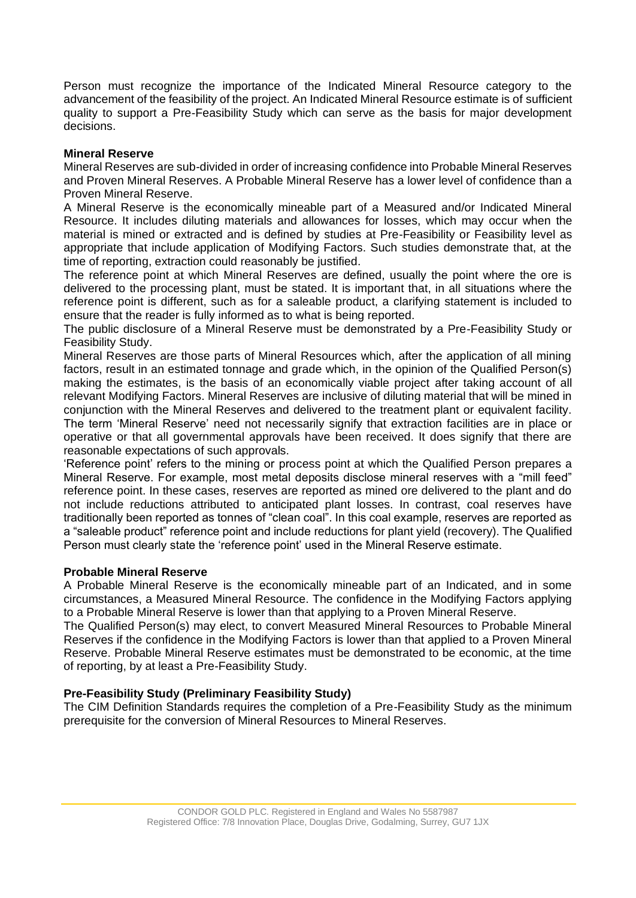Person must recognize the importance of the Indicated Mineral Resource category to the advancement of the feasibility of the project. An Indicated Mineral Resource estimate is of sufficient quality to support a Pre-Feasibility Study which can serve as the basis for major development decisions.

#### **Mineral Reserve**

Mineral Reserves are sub-divided in order of increasing confidence into Probable Mineral Reserves and Proven Mineral Reserves. A Probable Mineral Reserve has a lower level of confidence than a Proven Mineral Reserve.

A Mineral Reserve is the economically mineable part of a Measured and/or Indicated Mineral Resource. It includes diluting materials and allowances for losses, which may occur when the material is mined or extracted and is defined by studies at Pre-Feasibility or Feasibility level as appropriate that include application of Modifying Factors. Such studies demonstrate that, at the time of reporting, extraction could reasonably be justified.

The reference point at which Mineral Reserves are defined, usually the point where the ore is delivered to the processing plant, must be stated. It is important that, in all situations where the reference point is different, such as for a saleable product, a clarifying statement is included to ensure that the reader is fully informed as to what is being reported.

The public disclosure of a Mineral Reserve must be demonstrated by a Pre-Feasibility Study or Feasibility Study.

Mineral Reserves are those parts of Mineral Resources which, after the application of all mining factors, result in an estimated tonnage and grade which, in the opinion of the Qualified Person(s) making the estimates, is the basis of an economically viable project after taking account of all relevant Modifying Factors. Mineral Reserves are inclusive of diluting material that will be mined in conjunction with the Mineral Reserves and delivered to the treatment plant or equivalent facility. The term 'Mineral Reserve' need not necessarily signify that extraction facilities are in place or operative or that all governmental approvals have been received. It does signify that there are reasonable expectations of such approvals.

'Reference point' refers to the mining or process point at which the Qualified Person prepares a Mineral Reserve. For example, most metal deposits disclose mineral reserves with a "mill feed" reference point. In these cases, reserves are reported as mined ore delivered to the plant and do not include reductions attributed to anticipated plant losses. In contrast, coal reserves have traditionally been reported as tonnes of "clean coal". In this coal example, reserves are reported as a "saleable product" reference point and include reductions for plant yield (recovery). The Qualified Person must clearly state the 'reference point' used in the Mineral Reserve estimate.

# **Probable Mineral Reserve**

A Probable Mineral Reserve is the economically mineable part of an Indicated, and in some circumstances, a Measured Mineral Resource. The confidence in the Modifying Factors applying to a Probable Mineral Reserve is lower than that applying to a Proven Mineral Reserve.

The Qualified Person(s) may elect, to convert Measured Mineral Resources to Probable Mineral Reserves if the confidence in the Modifying Factors is lower than that applied to a Proven Mineral Reserve. Probable Mineral Reserve estimates must be demonstrated to be economic, at the time of reporting, by at least a Pre-Feasibility Study.

# **Pre-Feasibility Study (Preliminary Feasibility Study)**

The CIM Definition Standards requires the completion of a Pre-Feasibility Study as the minimum prerequisite for the conversion of Mineral Resources to Mineral Reserves.